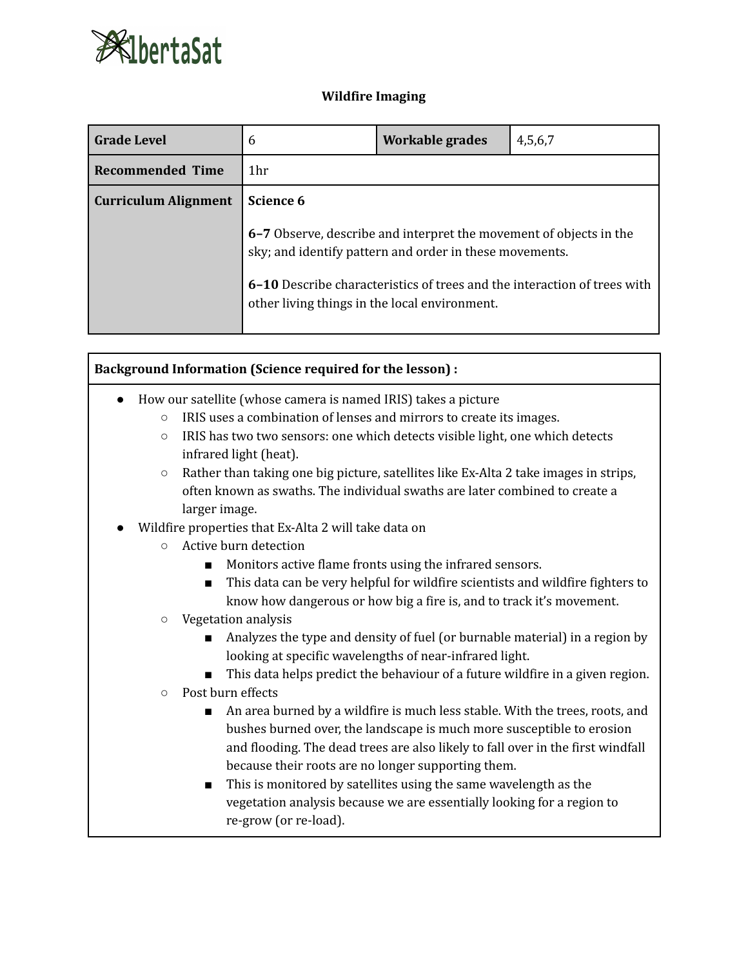

#### **Wildfire Imaging**

| <b>Grade Level</b>          | 6                                             | Workable grades                                                                                                               | 4,5,6,7                                                                         |
|-----------------------------|-----------------------------------------------|-------------------------------------------------------------------------------------------------------------------------------|---------------------------------------------------------------------------------|
| <b>Recommended Time</b>     | 1hr                                           |                                                                                                                               |                                                                                 |
| <b>Curriculum Alignment</b> | Science 6                                     |                                                                                                                               |                                                                                 |
|                             |                                               | 6-7 Observe, describe and interpret the movement of objects in the<br>sky; and identify pattern and order in these movements. | <b>6-10</b> Describe characteristics of trees and the interaction of trees with |
|                             | other living things in the local environment. |                                                                                                                               |                                                                                 |

### **Background Information (Science required for the lesson) :**

- How our satellite (whose camera is named IRIS) takes a picture
	- IRIS uses a combination of lenses and mirrors to create its images.
	- IRIS has two two sensors: one which detects visible light, one which detects infrared light (heat).
	- $\circ$  Rather than taking one big picture, satellites like Ex-Alta 2 take images in strips, often known as swaths. The individual swaths are later combined to create a larger image.

## Wildfire properties that Ex-Alta 2 will take data on

- Active burn detection
	- Monitors active flame fronts using the infrared sensors.
	- This data can be very helpful for wildfire scientists and wildfire fighters to know how dangerous or how big a fire is, and to track it's movement.

#### ○ Vegetation analysis

- Analyzes the type and density of fuel (or burnable material) in a region by looking at specific wavelengths of near-infrared light.
- This data helps predict the behaviour of a future wildfire in a given region.

#### ○ Post burn effects

- An area burned by a wildfire is much less stable. With the trees, roots, and bushes burned over, the landscape is much more susceptible to erosion and flooding. The dead trees are also likely to fall over in the first windfall because their roots are no longer supporting them.
- This is monitored by satellites using the same wavelength as the vegetation analysis because we are essentially looking for a region to re-grow (or re-load).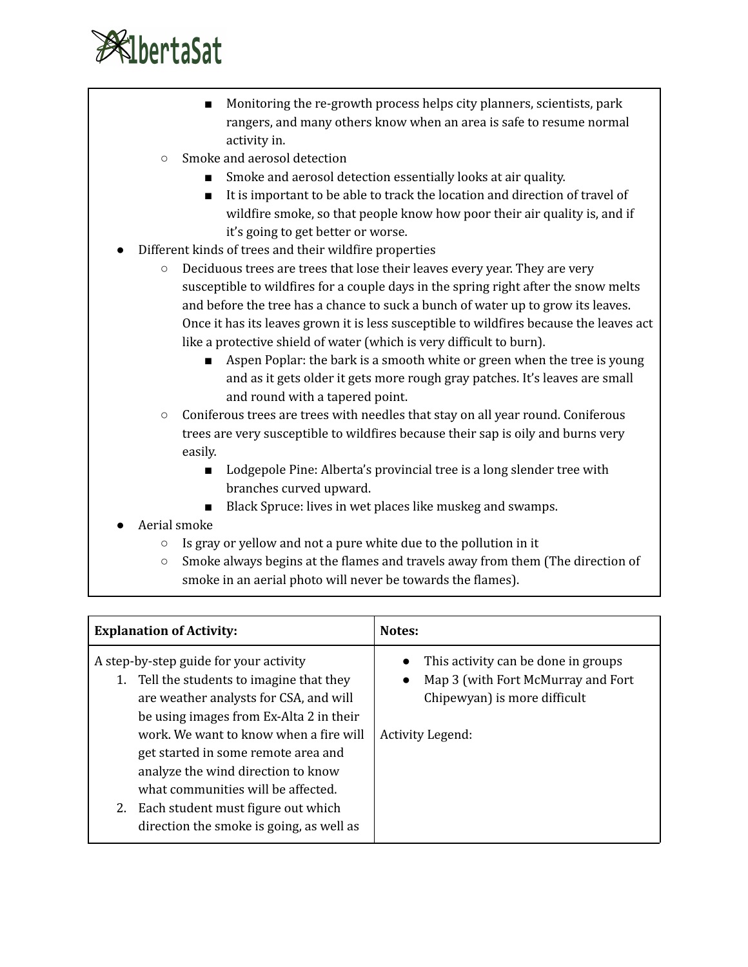

- Monitoring the re-growth process helps city planners, scientists, park rangers, and many others know when an area is safe to resume normal activity in.
- Smoke and aerosol detection
	- Smoke and aerosol detection essentially looks at air quality.
	- It is important to be able to track the location and direction of travel of wildfire smoke, so that people know how poor their air quality is, and if it's going to get better or worse.
- Different kinds of trees and their wildfire properties
	- Deciduous trees are trees that lose their leaves every year. They are very susceptible to wildfires for a couple days in the spring right after the snow melts and before the tree has a chance to suck a bunch of water up to grow its leaves. Once it has its leaves grown it is less susceptible to wildfires because the leaves act like a protective shield of water (which is very difficult to burn).
		- Aspen Poplar: the bark is a smooth white or green when the tree is young and as it gets older it gets more rough gray patches. It's leaves are small and round with a tapered point.
	- Coniferous trees are trees with needles that stay on all year round. Coniferous trees are very susceptible to wildfires because their sap is oily and burns very easily.
		- Lodgepole Pine: Alberta's provincial tree is a long slender tree with branches curved upward.
		- Black Spruce: lives in wet places like muskeg and swamps.
- Aerial smoke
	- Is gray or yellow and not a pure white due to the pollution in it
	- Smoke always begins at the flames and travels away from them (The direction of smoke in an aerial photo will never be towards the flames).

| <b>Explanation of Activity:</b>                                                                                                                                                                                                                                                                                                                                                                                               | Notes:                                                                                                                                     |
|-------------------------------------------------------------------------------------------------------------------------------------------------------------------------------------------------------------------------------------------------------------------------------------------------------------------------------------------------------------------------------------------------------------------------------|--------------------------------------------------------------------------------------------------------------------------------------------|
| A step-by-step guide for your activity<br>1. Tell the students to imagine that they<br>are weather analysts for CSA, and will<br>be using images from Ex-Alta 2 in their<br>work. We want to know when a fire will<br>get started in some remote area and<br>analyze the wind direction to know<br>what communities will be affected.<br>Each student must figure out which<br>2.<br>direction the smoke is going, as well as | This activity can be done in groups<br>Map 3 (with Fort McMurray and Fort<br>$\bullet$<br>Chipewyan) is more difficult<br>Activity Legend: |